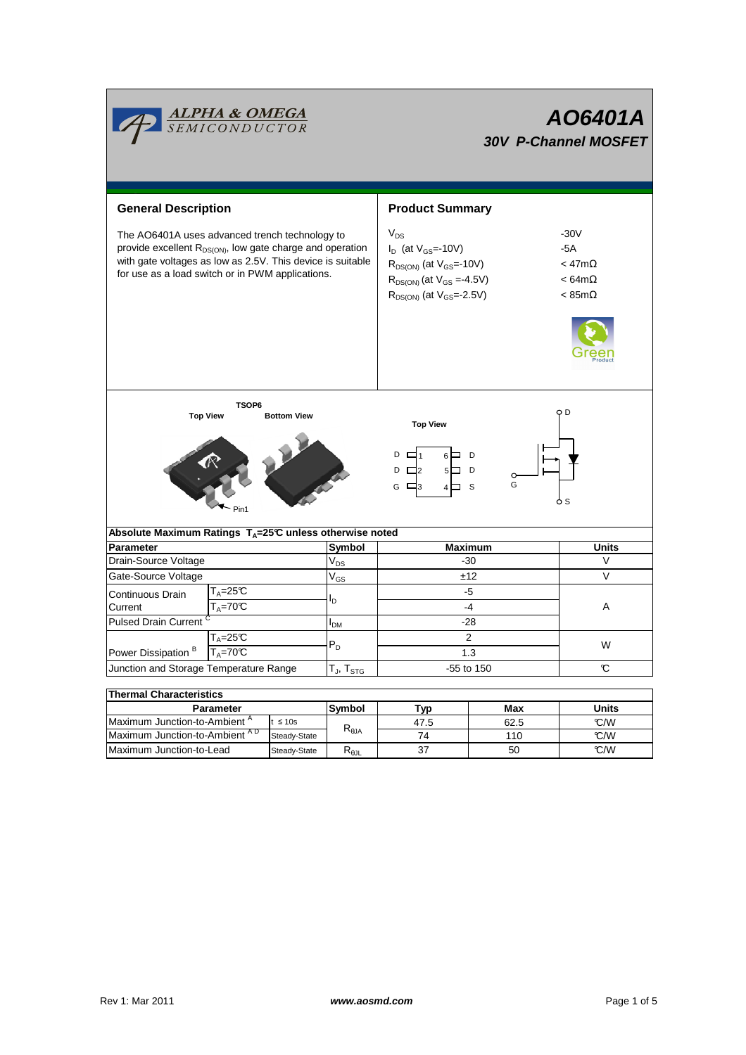|                                                                                                                                                                                                                                           | <mark>ALPHA &amp; OMEGA</mark><br>SEMICONDUCTOR                           |                   | AO6401A<br><b>30V P-Channel MOSFET</b>                                                                                                                  |                                                                              |              |  |  |
|-------------------------------------------------------------------------------------------------------------------------------------------------------------------------------------------------------------------------------------------|---------------------------------------------------------------------------|-------------------|---------------------------------------------------------------------------------------------------------------------------------------------------------|------------------------------------------------------------------------------|--------------|--|--|
| <b>General Description</b>                                                                                                                                                                                                                |                                                                           |                   | <b>Product Summary</b>                                                                                                                                  |                                                                              |              |  |  |
| The AO6401A uses advanced trench technology to<br>provide excellent R <sub>DS(ON)</sub> , low gate charge and operation<br>with gate voltages as low as 2.5V. This device is suitable<br>for use as a load switch or in PWM applications. |                                                                           |                   | $V_{DS}$<br>$I_D$ (at $V_{GS}$ =-10V)<br>$R_{DS(ON)}$ (at $V_{GS}$ =-10V)<br>$R_{DS(ON)}$ (at $V_{GS} = -4.5V$ )<br>$R_{DS(ON)}$ (at $V_{GS} = -2.5V$ ) | $-30V$<br>-5A<br>$<$ 47m $\Omega$<br>$< 64 m\Omega$<br>$< 85 \text{m}\Omega$ |              |  |  |
| TSOP6<br><b>Top View</b><br><b>Bottom View</b>                                                                                                                                                                                            |                                                                           |                   | O D<br><b>Top View</b><br>$D \Box$ 1<br>6⊨ D<br>$D \Box 2$<br>5□ D<br>G<br>G<br>- S<br>$\Box$ 3<br>4 □<br>S.                                            |                                                                              |              |  |  |
|                                                                                                                                                                                                                                           | Absolute Maximum Ratings $T_A = 25^\circ \text{C}$ unless otherwise noted |                   |                                                                                                                                                         |                                                                              |              |  |  |
| Parameter                                                                                                                                                                                                                                 |                                                                           | Symbol            | <b>Maximum</b>                                                                                                                                          |                                                                              | <b>Units</b> |  |  |
| Drain-Source Voltage                                                                                                                                                                                                                      |                                                                           | $V_{DS}$          | $-30$                                                                                                                                                   |                                                                              | $\vee$       |  |  |
| Gate-Source Voltage                                                                                                                                                                                                                       |                                                                           |                   | ±12                                                                                                                                                     |                                                                              | V            |  |  |
| Continuous Drain                                                                                                                                                                                                                          | T <sub>A</sub> =25℃                                                       | $V_{GS}$          | $-5$                                                                                                                                                    |                                                                              |              |  |  |
| $T_A = 70C$<br>Current                                                                                                                                                                                                                    |                                                                           | l <sub>D</sub>    | $-4$                                                                                                                                                    |                                                                              | Α            |  |  |
| Pulsed Drain Current <sup>C</sup>                                                                                                                                                                                                         |                                                                           | I <sub>DM</sub>   | $-28$                                                                                                                                                   |                                                                              |              |  |  |
| Power Dissipation <sup>B</sup>                                                                                                                                                                                                            | $T_A = 25C$<br>$T_A = 70^\circ C$                                         | $P_D$             | $\overline{2}$<br>1.3                                                                                                                                   | W                                                                            |              |  |  |
| Junction and Storage Temperature Range                                                                                                                                                                                                    |                                                                           | $T_J$ , $T_{STG}$ | -55 to 150                                                                                                                                              |                                                                              | C.           |  |  |
| <b>Thermal Characteristics</b>                                                                                                                                                                                                            | <b>Parameter</b>                                                          | Symbol            |                                                                                                                                                         | Max                                                                          | <b>Units</b> |  |  |
|                                                                                                                                                                                                                                           |                                                                           |                   | Typ                                                                                                                                                     |                                                                              |              |  |  |

| <b>Parameter</b>                                          | Symbol       | ™vp                                   | Max  | Units |      |  |  |  |
|-----------------------------------------------------------|--------------|---------------------------------------|------|-------|------|--|--|--|
| Maximum Junction-to-Ambient <sup>A</sup>                  | $\leq 10s$   |                                       | 47.5 | 62.5  | °C/W |  |  |  |
| Maximum Junction-to-Ambient <sup>AD</sup><br>Steady-State |              | $\mathsf{R}_{\boldsymbol{\theta}}$ JA | 74   | 110   | °C/W |  |  |  |
| Maximum Junction-to-Lead                                  | Steady-State | ∾ია∟                                  | 37   | 50    | °C/W |  |  |  |

Г

<u> The Communication of the Communication of</u>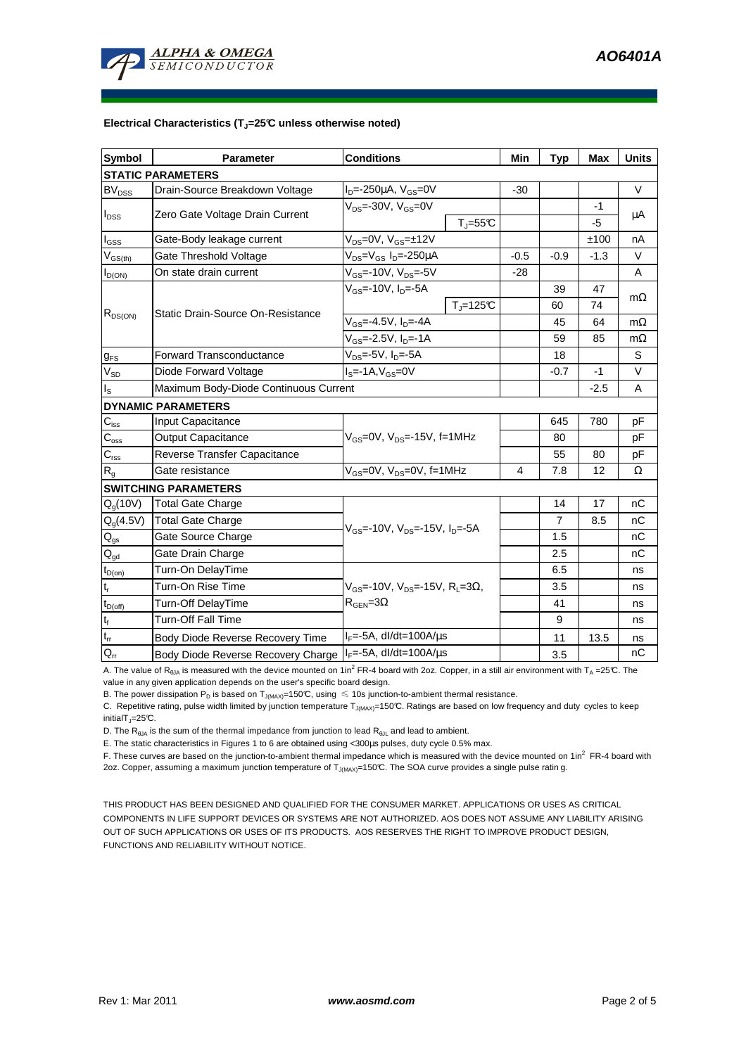

#### **Electrical Characteristics (TJ=25°C unless otherwise noted)**

| <b>Symbol</b>              | Parameter                                                 | <b>Conditions</b>                                                          | Min    | <b>Typ</b> | <b>Max</b> | <b>Units</b> |  |  |  |
|----------------------------|-----------------------------------------------------------|----------------------------------------------------------------------------|--------|------------|------------|--------------|--|--|--|
| <b>STATIC PARAMETERS</b>   |                                                           |                                                                            |        |            |            |              |  |  |  |
| <b>BV<sub>DSS</sub></b>    | Drain-Source Breakdown Voltage                            | $I_{D} = -250 \mu A$ , $V_{GS} = 0V$                                       | $-30$  |            |            | $\vee$       |  |  |  |
|                            | Zero Gate Voltage Drain Current                           | $V_{DS}$ =-30V, $V_{GS}$ =0V                                               |        |            | $-1$       | μA           |  |  |  |
| $I_{DSS}$                  |                                                           | $T_{\rm J}$ =55 $C$                                                        |        |            | -5         |              |  |  |  |
| $I_{GSS}$                  | Gate-Body leakage current                                 | $V_{DS} = 0V$ , $V_{GS} = \pm 12V$                                         |        |            | ±100       | nA           |  |  |  |
| $V_{GS(th)}$               | Gate Threshold Voltage                                    | $V_{DS} = V_{GS} I_D = -250 \mu A$                                         | $-0.5$ | $-0.9$     | $-1.3$     | $\vee$       |  |  |  |
| $I_{D(ON)}$                | On state drain current                                    | $\overline{V_{GS}}$ =-10 $\overline{V}$ , $V_{DS}$ =-5 $V$                 | $-28$  |            |            | A            |  |  |  |
| $R_{DS(ON)}$               | Static Drain-Source On-Resistance                         | $V_{GS}$ =-10V, $I_{D}$ =-5A                                               |        | 39         | 47         | $m\Omega$    |  |  |  |
|                            |                                                           | $T_{\parallel} = 125$ °C                                                   |        | 60         | 74         |              |  |  |  |
|                            |                                                           | $V_{GS} = -4.5V$ , $I_D = -4A$                                             |        | 45         | 64         | $m\Omega$    |  |  |  |
|                            |                                                           | V <sub>GS</sub> =-2.5V, I <sub>D</sub> =-1A                                |        | 59         | 85         | $m\Omega$    |  |  |  |
| $g_{FS}$                   | <b>Forward Transconductance</b>                           | $V_{DS}$ =-5V, $I_D$ =-5A                                                  |        | 18         |            | S            |  |  |  |
| $V_{SD}$                   | Diode Forward Voltage                                     | $IS=-1A, VGS=0V$                                                           |        | $-0.7$     | $-1$       | $\vee$       |  |  |  |
| l <sub>s</sub>             | Maximum Body-Diode Continuous Current                     |                                                                            |        | $-2.5$     | Α          |              |  |  |  |
|                            | <b>DYNAMIC PARAMETERS</b>                                 |                                                                            |        |            |            |              |  |  |  |
| $C_{\text{iss}}$           | Input Capacitance                                         |                                                                            |        | 645        | 780        | pF           |  |  |  |
| $C_{\rm oss}$              | Output Capacitance                                        | V <sub>GS</sub> =0V, V <sub>DS</sub> =-15V, f=1MHz                         |        | 80         |            | pF           |  |  |  |
| $C_{\rm rss}$              | Reverse Transfer Capacitance                              |                                                                            |        | 55         | 80         | pF           |  |  |  |
| $\mathsf{R}_{\mathsf{g}}$  | Gate resistance                                           | V <sub>GS</sub> =0V, V <sub>DS</sub> =0V, f=1MHz                           | 4      | 7.8        | 12         | Ω            |  |  |  |
|                            | <b>SWITCHING PARAMETERS</b>                               |                                                                            |        |            |            |              |  |  |  |
| $Q_q(10V)$                 | <b>Total Gate Charge</b>                                  |                                                                            |        | 14         | 17         | nС           |  |  |  |
| $Q_q(4.5V)$                | <b>Total Gate Charge</b>                                  | $V_{GS}$ =-10V, $V_{DS}$ =-15V, $I_{D}$ =-5A                               |        | 7          | 8.5        | nС           |  |  |  |
| $\mathsf{Q}_{\text{gs}}$   | Gate Source Charge                                        |                                                                            |        | 1.5        |            | nC           |  |  |  |
| $Q_{gd}$                   | Gate Drain Charge                                         |                                                                            |        | 2.5        |            | nС           |  |  |  |
| $t_{D(on)}$                | Turn-On DelayTime                                         |                                                                            |        | 6.5        |            | ns           |  |  |  |
| $t_r$                      | Turn-On Rise Time                                         | $V_{\text{GS}}$ =-10V, $V_{\text{DS}}$ =-15V, R <sub>1</sub> =3 $\Omega$ , |        | 3.5        |            | ns           |  |  |  |
| $t_{D(off)}$               | Turn-Off DelayTime                                        | $R_{\text{GEN}} = 3\Omega$                                                 |        | 41         |            | ns           |  |  |  |
| $t_f$                      | Turn-Off Fall Time                                        |                                                                            |        | 9          |            | ns           |  |  |  |
| $\mathfrak{t}_{\text{rr}}$ | Body Diode Reverse Recovery Time                          | $I_F = -5A$ , dl/dt=100A/ $\mu$ s                                          |        | 11         | 13.5       | ns           |  |  |  |
| $Q_{rr}$                   | Body Diode Reverse Recovery Charge IIF=-5A, dl/dt=100A/us |                                                                            |        | 3.5        |            | nC           |  |  |  |

A. The value of R<sub>θJA</sub> is measured with the device mounted on 1in<sup>2</sup> FR-4 board with 2oz. Copper, in a still air environment with T<sub>A</sub> =25℃. The value in any given application depends on the user's specific board design.

B. The power dissipation P<sub>D</sub> is based on T<sub>J(MAX)</sub>=150°C, using  $\leq 10$ s junction-to-ambient thermal resistance.

C. Repetitive rating, pulse width limited by junction temperature  $T_{J(MAX)}$ =150°C. Ratings are based on low frequency and duty cycles to keep  $initialT = 25^{\circ}C$ .

D. The  $R_{\theta JA}$  is the sum of the thermal impedance from junction to lead  $R_{\theta JL}$  and lead to ambient.

E. The static characteristics in Figures 1 to 6 are obtained using <300µs pulses, duty cycle 0.5% max.

F. These curves are based on the junction-to-ambient thermal impedance which is measured with the device mounted on 1in<sup>2</sup> FR-4 board with 2oz. Copper, assuming a maximum junction temperature of  $T_{J(MAX)}$ =150°C. The SOA curve provides a single pulse ratin g.

THIS PRODUCT HAS BEEN DESIGNED AND QUALIFIED FOR THE CONSUMER MARKET. APPLICATIONS OR USES AS CRITICAL COMPONENTS IN LIFE SUPPORT DEVICES OR SYSTEMS ARE NOT AUTHORIZED. AOS DOES NOT ASSUME ANY LIABILITY ARISING OUT OF SUCH APPLICATIONS OR USES OF ITS PRODUCTS. AOS RESERVES THE RIGHT TO IMPROVE PRODUCT DESIGN, FUNCTIONS AND RELIABILITY WITHOUT NOTICE.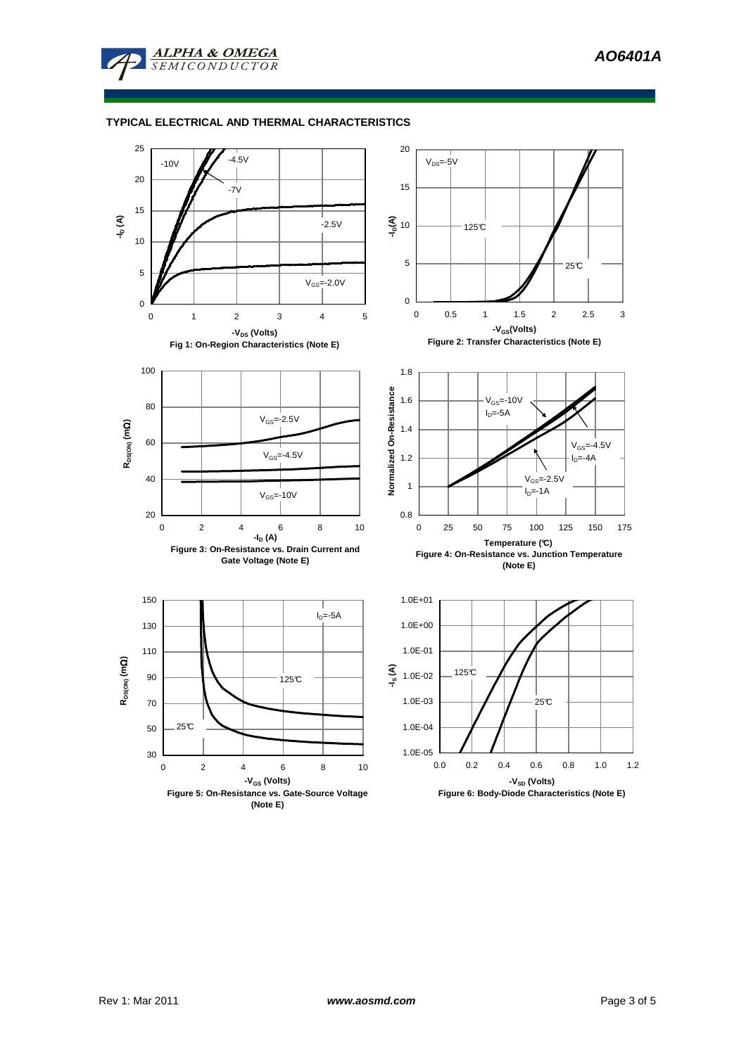

## **TYPICAL ELECTRICAL AND THERMAL CHARACTERISTICS**

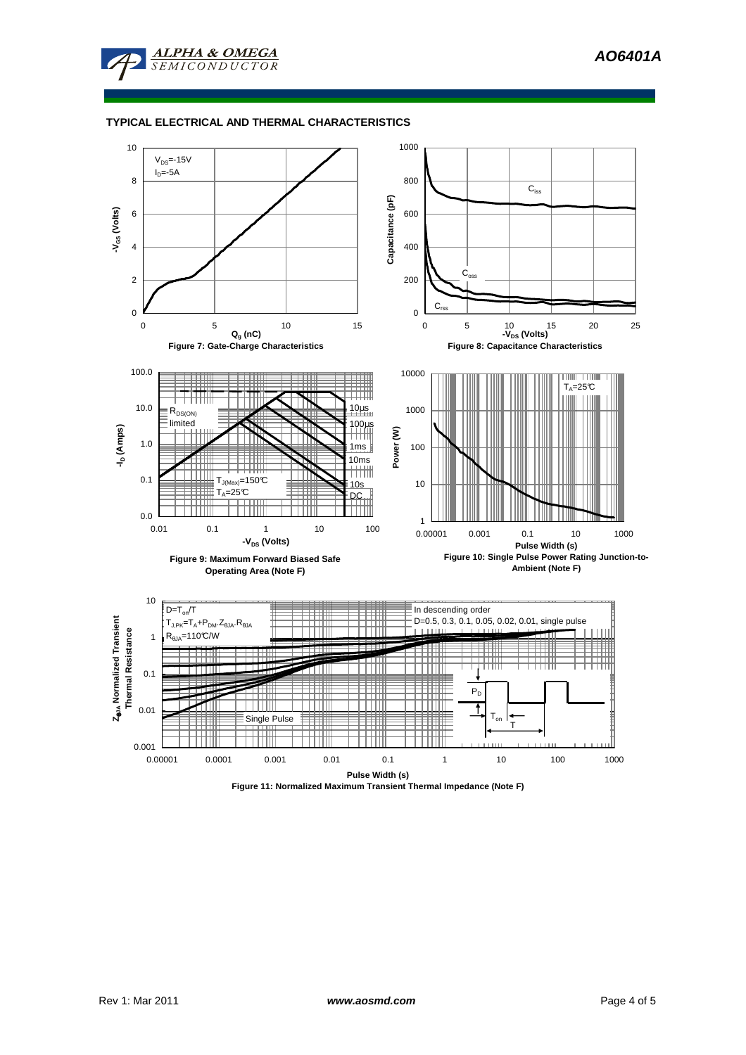



## **TYPICAL ELECTRICAL AND THERMAL CHARACTERISTICS**